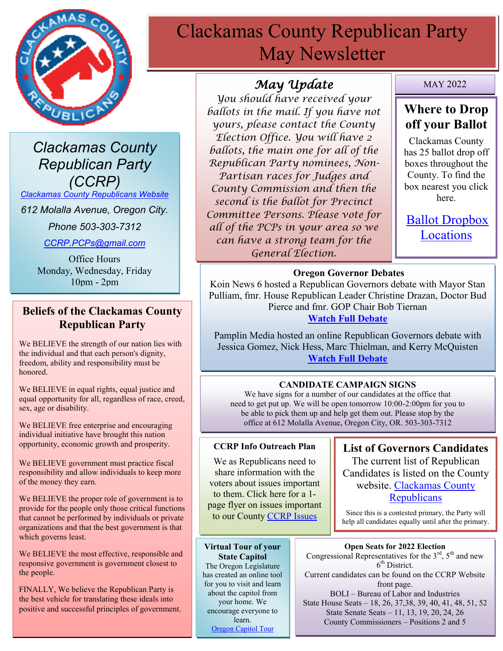

*Clackamas County Republican Party (CCRP)*

*[Clackamas County Republicans Website](https://www.clackamascountyrepublicans.org/)*

*612 Molalla Avenue, Oregon City.* 

*Phone 503-303-7312*

*[CCRP.PCPs@gmail.com](mailto:CCRP.PCPs@gmail.com)*

Office Hours Monday, Wednesday, Friday 10pm - 2pm

## **Beliefs of the Clackamas County Republican Party**

We BELIEVE the strength of our nation lies with the individual and that each person's dignity, freedom, ability and responsibility must be honored.

We BELIEVE in equal rights, equal justice and equal opportunity for all, regardless of race, creed, sex, age or disability.

We BELIEVE free enterprise and encouraging individual initiative have brought this nation opportunity, economic growth and prosperity.

We BELIEVE government must practice fiscal responsibility and allow individuals to keep more of the money they earn.

We BELIEVE the proper role of government is to provide for the people only those critical functions that cannot be performed by individuals or private organizations and that the best government is that which governs least.

We BELIEVE the most effective, responsible and responsive government is government closest to the people.

FINALLY, We believe the Republican Party is the best vehicle for translating these ideals into positive and successful principles of government.

# Clackamas County Republican Party May Newsletter

## *May Update*

*You should have received your ballots in the mail. If you have not yours, please contact the County Election Office. You will have 2 ballots, the main one for all of the Republican Party nominees, Non-Partisan races for Judges and County Commission and then the second is the ballot for Precinct Committee Persons. Please vote for all of the PCPs in your area so we can have a strong team for the General Election.*

MAY 2022

## **Where to Drop off your Ballot**

Clackamas County has 25 ballot drop off boxes throughout the County. To find the box nearest you click here.

[Ballot Dropbox](https://dochub.clackamas.us/documents/drupal/b72a3a1c-3a5f-42c9-b544-5da364c65e9c)  [Locations](https://dochub.clackamas.us/documents/drupal/b72a3a1c-3a5f-42c9-b544-5da364c65e9c)

## **Oregon Governor Debates**

Koin News 6 hosted a Republican Governors debate with Mayor Stan Pulliam, fmr. House Republican Leader Christine Drazan, Doctor Bud Pierce and fmr. GOP Chair Bob Tiernan

## **[Watch Full Debate](https://www.koin.com/news/elections/watch-the-full-koin-pamplin-oregon-gop-governors-debate-here/)**

Pamplin Media hosted an online Republican Governors debate with Jessica Gomez, Nick Hess, Marc Thielman, and Kerry McQuisten **[Watch Full Debate](https://pamplinmedia.com/pt/9-news/544071-435511-watch-gubernatorial-hopefuls-sit-down-with-pamplin-media-group-pwoff?wallit_nosession=1&fbclid=IwAR39q2_J2AUwOxas5d0gsVdSQ-VGqbYAA2M7cUYjRFW1AKnL5yH7Fc90X-Q)**

## **CANDIDATE CAMPAIGN SIGNS**

We have signs for a number of our candidates at the office that need to get put up. We will be open tomorrow 10:00-2:00pm for you to be able to pick them up and help get them out. Please stop by the office at 612 Molalla Avenue, Oregon City, OR. 503-303-7312

#### **CCRP Info Outreach Plan**

We as Republicans need to share information with the voters about issues important to them. Click here for a 1 page flyer on issues important to our County [CCRP Issues](https://www.clackamascountyrepublicans.org/wp-content/uploads/2021/09/CCRP-Outreach.pdf)

**Virtual Tour of your State Capitol** The Oregon Legislature has created an online tool for you to visit and learn about the capitol from your home. We encourage everyone to learn. [Oregon Capitol Tour](https://www.oregonlegislature.gov/capitolhistorygateway/Pages/default.aspx)

**List of Governors Candidates** The current list of Republican Candidates is listed on the County website. [Clackamas County](https://www.clackamascountyrepublicans.org/)  **[Republicans](https://www.clackamascountyrepublicans.org/)** 

Since this is a contested primary, the Party will help all candidates equally until after the primary.

#### **Open Seats for 2022 Election**

Congressional Representatives for the  $3<sup>rd</sup>$ ,  $5<sup>th</sup>$  and new 6<sup>th</sup> District.

Current candidates can be found on the CCRP Website front page.

BOLI – Bureau of Labor and Industries State House Seats – 18, 26, 37,38, 39, 40, 41, 48, 51, 52 State Senate Seats – 11, 13, 19, 20, 24, 26 County Commissioners – Positions 2 and 5